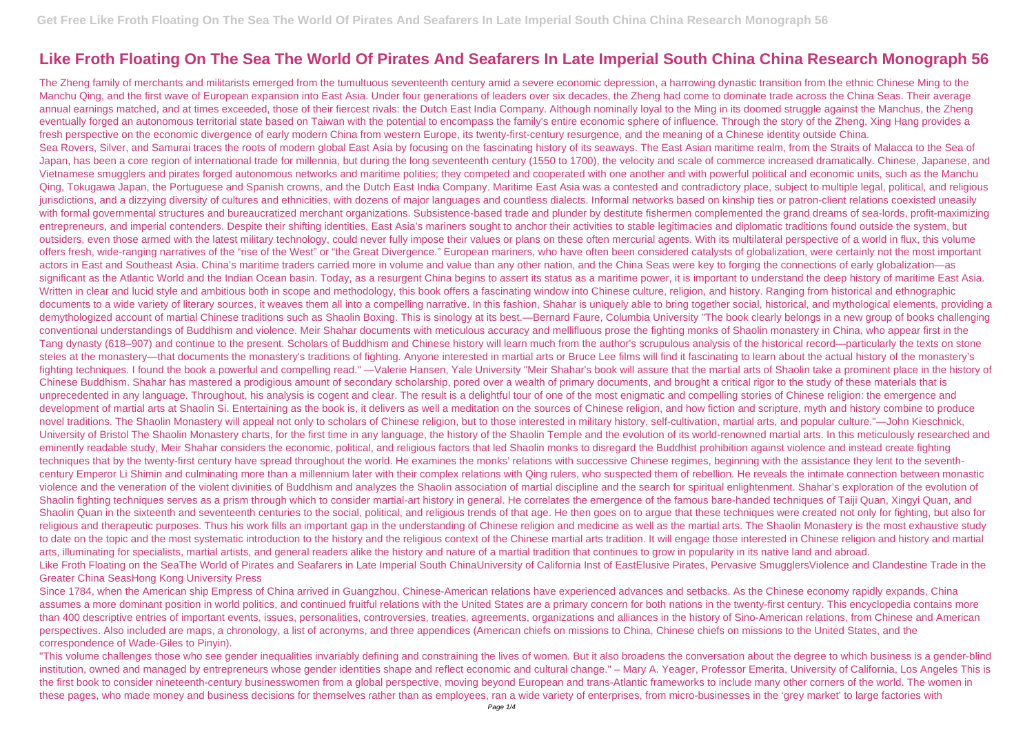## **Like Froth Floating On The Sea The World Of Pirates And Seafarers In Late Imperial South China China Research Monograph 56**

The Zheng family of merchants and militarists emerged from the tumultuous seventeenth century amid a severe economic depression, a harrowing dynastic transition from the ethnic Chinese Ming to the Manchu Qing, and the first wave of European expansion into East Asia. Under four generations of leaders over six decades, the Zheng had come to dominate trade across the China Seas. Their average annual earnings matched, and at times exceeded, those of their fiercest rivals: the Dutch East India Company. Although nominally loyal to the Ming in its doomed struggle against the Manchus, the Zheng eventually forged an autonomous territorial state based on Taiwan with the potential to encompass the family's entire economic sphere of influence. Through the story of the Zheng, Xing Hang provides a fresh perspective on the economic divergence of early modern China from western Europe, its twenty-first-century resurgence, and the meaning of a Chinese identity outside China. Sea Rovers, Silver, and Samurai traces the roots of modern global East Asia by focusing on the fascinating history of its seaways. The East Asian maritime realm, from the Straits of Malacca to the Sea of Japan, has been a core region of international trade for millennia, but during the long seventeenth century (1550 to 1700), the velocity and scale of commerce increased dramatically. Chinese, Japanese, and Vietnamese smugglers and pirates forged autonomous networks and maritime polities; they competed and cooperated with one another and with powerful political and economic units, such as the Manchu Qing, Tokugawa Japan, the Portuguese and Spanish crowns, and the Dutch East India Company. Maritime East Asia was a contested and contradictory place, subject to multiple legal, political, and religious jurisdictions, and a dizzying diversity of cultures and ethnicities, with dozens of major languages and countless dialects. Informal networks based on kinship ties or patron-client relations coexisted uneasily with formal governmental structures and bureaucratized merchant organizations. Subsistence-based trade and plunder by destitute fishermen complemented the grand dreams of sea-lords, profit-maximizing entrepreneurs, and imperial contenders. Despite their shifting identities, East Asia's mariners sought to anchor their activities to stable legitimacies and diplomatic traditions found outside the system, but outsiders, even those armed with the latest military technology, could never fully impose their values or plans on these often mercurial agents. With its multilateral perspective of a world in flux, this volume offers fresh, wide-ranging narratives of the "rise of the West" or "the Great Divergence." European mariners, who have often been considered catalysts of globalization, were certainly not the most important actors in East and Southeast Asia. China's maritime traders carried more in volume and value than any other nation, and the China Seas were key to forging the connections of early globalization—as significant as the Atlantic World and the Indian Ocean basin. Today, as a resurgent China begins to assert its status as a maritime power, it is important to understand the deep history of maritime East Asia. Written in clear and lucid style and ambitious both in scope and methodology, this book offers a fascinating window into Chinese culture, religion, and history. Ranging from historical and ethnographic documents to a wide variety of literary sources, it weaves them all into a compelling narrative. In this fashion, Shahar is uniquely able to bring together social, historical, and mythological elements, providing a demythologized account of martial Chinese traditions such as Shaolin Boxing. This is sinology at its best.—Bernard Faure, Columbia University "The book clearly belongs in a new group of books challenging conventional understandings of Buddhism and violence. Meir Shahar documents with meticulous accuracy and mellifluous prose the fighting monks of Shaolin monastery in China, who appear first in the Tang dynasty (618–907) and continue to the present. Scholars of Buddhism and Chinese history will learn much from the author's scrupulous analysis of the historical record—particularly the texts on stone steles at the monastery—that documents the monastery's traditions of fighting. Anyone interested in martial arts or Bruce Lee films will find it fascinating to learn about the actual history of the monastery's fighting techniques. I found the book a powerful and compelling read." —Valerie Hansen, Yale University "Meir Shahar's book will assure that the martial arts of Shaolin take a prominent place in the history of Chinese Buddhism. Shahar has mastered a prodigious amount of secondary scholarship, pored over a wealth of primary documents, and brought a critical rigor to the study of these materials that is unprecedented in any language. Throughout, his analysis is cogent and clear. The result is a delightful tour of one of the most enigmatic and compelling stories of Chinese religion: the emergence and development of martial arts at Shaolin Si. Entertaining as the book is, it delivers as well a meditation on the sources of Chinese religion, and how fiction and scripture, myth and history combine to produce novel traditions. The Shaolin Monastery will appeal not only to scholars of Chinese religion, but to those interested in military history, self-cultivation, martial arts, and popular culture."—John Kieschnick, University of Bristol The Shaolin Monastery charts, for the first time in any language, the history of the Shaolin Temple and the evolution of its world-renowned martial arts. In this meticulously researched and eminently readable study, Meir Shahar considers the economic, political, and religious factors that led Shaolin monks to disregard the Buddhist prohibition against violence and instead create fighting techniques that by the twenty-first century have spread throughout the world. He examines the monks' relations with successive Chinese regimes, beginning with the assistance they lent to the seventhcentury Emperor Li Shimin and culminating more than a millennium later with their complex relations with Qing rulers, who suspected them of rebellion. He reveals the intimate connection between monastic violence and the veneration of the violent divinities of Buddhism and analyzes the Shaolin association of martial discipline and the search for spiritual enlightenment. Shahar's exploration of the evolution of Shaolin fighting techniques serves as a prism through which to consider martial-art history in general. He correlates the emergence of the famous bare-handed techniques of Taiji Quan, Xingyi Quan, and Shaolin Quan in the sixteenth and seventeenth centuries to the social, political, and religious trends of that age. He then goes on to argue that these techniques were created not only for fighting, but also for religious and therapeutic purposes. Thus his work fills an important gap in the understanding of Chinese religion and medicine as well as the martial arts. The Shaolin Monastery is the most exhaustive study to date on the topic and the most systematic introduction to the history and the religious context of the Chinese martial arts tradition. It will engage those interested in Chinese religion and history and martial arts, illuminating for specialists, martial artists, and general readers alike the history and nature of a martial tradition that continues to grow in popularity in its native land and abroad. Like Froth Floating on the SeaThe World of Pirates and Seafarers in Late Imperial South ChinaUniversity of California Inst of EastElusive Pirates, Pervasive SmugglersViolence and Clandestine Trade in the Greater China SeasHong Kong University Press

"This volume challenges those who see gender inequalities invariably defining and constraining the lives of women. But it also broadens the conversation about the degree to which business is a gender-blind institution, owned and managed by entrepreneurs whose gender identities shape and reflect economic and cultural change." – Mary A. Yeager, Professor Emerita, University of California, Los Angeles This is the first book to consider nineteenth-century businesswomen from a global perspective, moving beyond European and trans-Atlantic frameworks to include many other corners of the world. The women in these pages, who made money and business decisions for themselves rather than as employees, ran a wide variety of enterprises, from micro-businesses in the 'grey market' to large factories with

Since 1784, when the American ship Empress of China arrived in Guangzhou, Chinese-American relations have experienced advances and setbacks. As the Chinese economy rapidly expands, China assumes a more dominant position in world politics, and continued fruitful relations with the United States are a primary concern for both nations in the twenty-first century. This encyclopedia contains more than 400 descriptive entries of important events, issues, personalities, controversies, treaties, agreements, organizations and alliances in the history of Sino-American relations, from Chinese and American perspectives. Also included are maps, a chronology, a list of acronyms, and three appendices (American chiefs on missions to China, Chinese chiefs on missions to the United States, and the correspondence of Wade-Giles to Pinyin).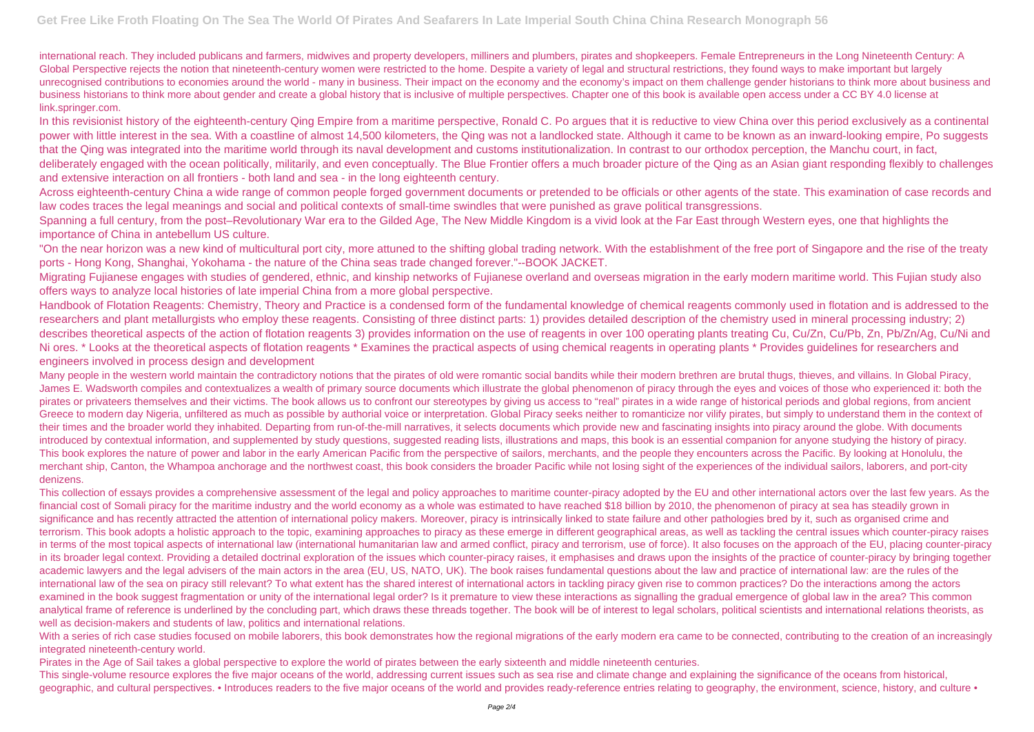international reach. They included publicans and farmers, midwives and property developers, milliners and plumbers, pirates and shopkeepers. Female Entrepreneurs in the Long Nineteenth Century: A Global Perspective rejects the notion that nineteenth-century women were restricted to the home. Despite a variety of legal and structural restrictions, they found ways to make important but largely unrecognised contributions to economies around the world - many in business. Their impact on the economy and the economy's impact on them challenge gender historians to think more about business and business historians to think more about gender and create a global history that is inclusive of multiple perspectives. Chapter one of this book is available open access under a CC BY 4.0 license at link.springer.com.

Spanning a full century, from the post–Revolutionary War era to the Gilded Age, The New Middle Kingdom is a vivid look at the Far East through Western eyes, one that highlights the importance of China in antebellum US culture.

"On the near horizon was a new kind of multicultural port city, more attuned to the shifting global trading network. With the establishment of the free port of Singapore and the rise of the treaty ports - Hong Kong, Shanghai, Yokohama - the nature of the China seas trade changed forever."--BOOK JACKET.

In this revisionist history of the eighteenth-century Qing Empire from a maritime perspective, Ronald C. Po argues that it is reductive to view China over this period exclusively as a continental power with little interest in the sea. With a coastline of almost 14,500 kilometers, the Qing was not a landlocked state. Although it came to be known as an inward-looking empire, Po suggests that the Qing was integrated into the maritime world through its naval development and customs institutionalization. In contrast to our orthodox perception, the Manchu court, in fact, deliberately engaged with the ocean politically, militarily, and even conceptually. The Blue Frontier offers a much broader picture of the Qing as an Asian giant responding flexibly to challenges and extensive interaction on all frontiers - both land and sea - in the long eighteenth century.

Across eighteenth-century China a wide range of common people forged government documents or pretended to be officials or other agents of the state. This examination of case records and law codes traces the legal meanings and social and political contexts of small-time swindles that were punished as grave political transgressions.

Many people in the western world maintain the contradictory notions that the pirates of old were romantic social bandits while their modern brethren are brutal thugs, thieves, and villains. In Global Piracy, James E. Wadsworth compiles and contextualizes a wealth of primary source documents which illustrate the global phenomenon of piracy through the eyes and voices of those who experienced it: both the pirates or privateers themselves and their victims. The book allows us to confront our stereotypes by giving us access to "real" pirates in a wide range of historical periods and global regions, from ancient Greece to modern day Nigeria, unfiltered as much as possible by authorial voice or interpretation. Global Piracy seeks neither to romanticize nor vilify pirates, but simply to understand them in the context of their times and the broader world they inhabited. Departing from run-of-the-mill narratives, it selects documents which provide new and fascinating insights into piracy around the globe. With documents introduced by contextual information, and supplemented by study questions, suggested reading lists, illustrations and maps, this book is an essential companion for anyone studying the history of piracy. This book explores the nature of power and labor in the early American Pacific from the perspective of sailors, merchants, and the people they encounters across the Pacific. By looking at Honolulu, the merchant ship, Canton, the Whampoa anchorage and the northwest coast, this book considers the broader Pacific while not losing sight of the experiences of the individual sailors, laborers, and port-city denizens.

Migrating Fujianese engages with studies of gendered, ethnic, and kinship networks of Fujianese overland and overseas migration in the early modern maritime world. This Fujian study also offers ways to analyze local histories of late imperial China from a more global perspective.

Handbook of Flotation Reagents: Chemistry, Theory and Practice is a condensed form of the fundamental knowledge of chemical reagents commonly used in flotation and is addressed to the researchers and plant metallurgists who employ these reagents. Consisting of three distinct parts: 1) provides detailed description of the chemistry used in mineral processing industry; 2) describes theoretical aspects of the action of flotation reagents 3) provides information on the use of reagents in over 100 operating plants treating Cu, Cu/Zn, Cu/Pb, Zn, Pb/Zn/Ag, Cu/Ni and Ni ores. \* Looks at the theoretical aspects of flotation reagents \* Examines the practical aspects of using chemical reagents in operating plants \* Provides guidelines for researchers and engineers involved in process design and development

With a series of rich case studies focused on mobile laborers, this book demonstrates how the regional migrations of the early modern era came to be connected, contributing to the creation of an increasingly integrated nineteenth-century world.

This single-volume resource explores the five major oceans of the world, addressing current issues such as sea rise and climate change and explaining the significance of the oceans from historical, geographic, and cultural perspectives. • Introduces readers to the five major oceans of the world and provides ready-reference entries relating to geography, the environment, science, history, and culture •

This collection of essays provides a comprehensive assessment of the legal and policy approaches to maritime counter-piracy adopted by the EU and other international actors over the last few years. As the financial cost of Somali piracy for the maritime industry and the world economy as a whole was estimated to have reached \$18 billion by 2010, the phenomenon of piracy at sea has steadily grown in significance and has recently attracted the attention of international policy makers. Moreover, piracy is intrinsically linked to state failure and other pathologies bred by it, such as organised crime and terrorism. This book adopts a holistic approach to the topic, examining approaches to piracy as these emerge in different geographical areas, as well as tackling the central issues which counter-piracy raises in terms of the most topical aspects of international law (international humanitarian law and armed conflict, piracy and terrorism, use of force). It also focuses on the approach of the EU, placing counter-piracy in its broader legal context. Providing a detailed doctrinal exploration of the issues which counter-piracy raises, it emphasises and draws upon the insights of the practice of counter-piracy by bringing together academic lawyers and the legal advisers of the main actors in the area (EU, US, NATO, UK). The book raises fundamental questions about the law and practice of international law: are the rules of the international law of the sea on piracy still relevant? To what extent has the shared interest of international actors in tackling piracy given rise to common practices? Do the interactions among the actors examined in the book suggest fragmentation or unity of the international legal order? Is it premature to view these interactions as signalling the gradual emergence of global law in the area? This common analytical frame of reference is underlined by the concluding part, which draws these threads together. The book will be of interest to legal scholars, political scientists and international relations theorists, as well as decision-makers and students of law, politics and international relations.

Pirates in the Age of Sail takes a global perspective to explore the world of pirates between the early sixteenth and middle nineteenth centuries.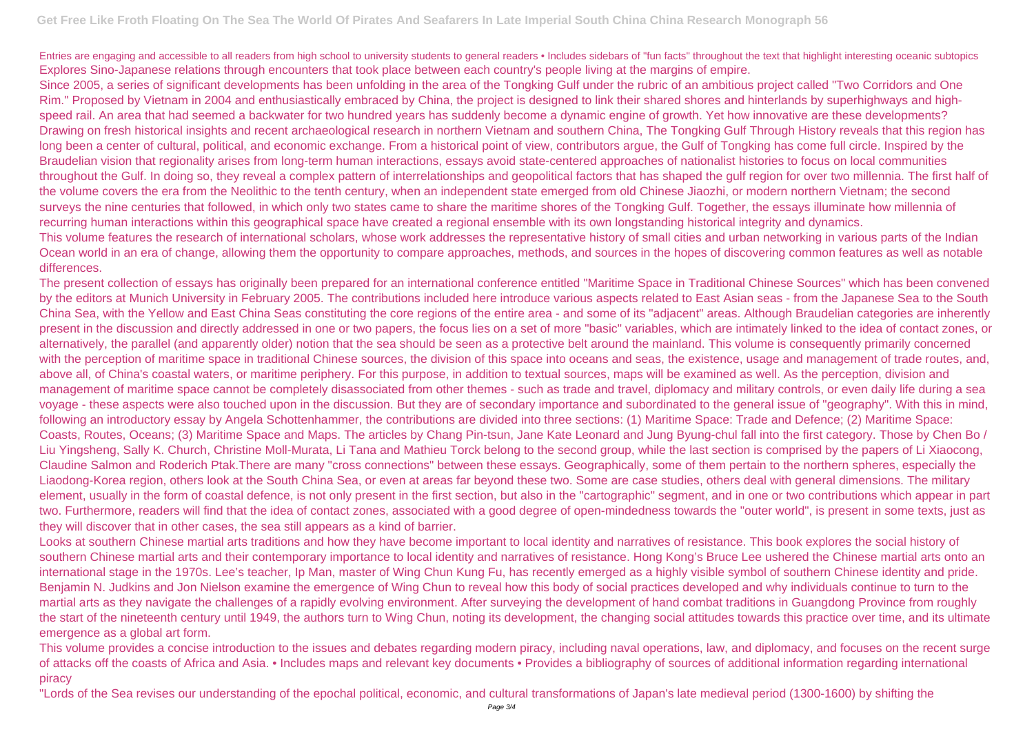Entries are engaging and accessible to all readers from high school to university students to general readers • Includes sidebars of "fun facts" throughout the text that highlight interesting oceanic subtopics Explores Sino-Japanese relations through encounters that took place between each country's people living at the margins of empire. Since 2005, a series of significant developments has been unfolding in the area of the Tongking Gulf under the rubric of an ambitious project called "Two Corridors and One Rim." Proposed by Vietnam in 2004 and enthusiastically embraced by China, the project is designed to link their shared shores and hinterlands by superhighways and highspeed rail. An area that had seemed a backwater for two hundred years has suddenly become a dynamic engine of growth. Yet how innovative are these developments? Drawing on fresh historical insights and recent archaeological research in northern Vietnam and southern China, The Tongking Gulf Through History reveals that this region has long been a center of cultural, political, and economic exchange. From a historical point of view, contributors argue, the Gulf of Tongking has come full circle. Inspired by the Braudelian vision that regionality arises from long-term human interactions, essays avoid state-centered approaches of nationalist histories to focus on local communities throughout the Gulf. In doing so, they reveal a complex pattern of interrelationships and geopolitical factors that has shaped the gulf region for over two millennia. The first half of the volume covers the era from the Neolithic to the tenth century, when an independent state emerged from old Chinese Jiaozhi, or modern northern Vietnam; the second surveys the nine centuries that followed, in which only two states came to share the maritime shores of the Tongking Gulf. Together, the essays illuminate how millennia of recurring human interactions within this geographical space have created a regional ensemble with its own longstanding historical integrity and dynamics. This volume features the research of international scholars, whose work addresses the representative history of small cities and urban networking in various parts of the Indian Ocean world in an era of change, allowing them the opportunity to compare approaches, methods, and sources in the hopes of discovering common features as well as notable differences.

The present collection of essays has originally been prepared for an international conference entitled "Maritime Space in Traditional Chinese Sources" which has been convened by the editors at Munich University in February 2005. The contributions included here introduce various aspects related to East Asian seas - from the Japanese Sea to the South China Sea, with the Yellow and East China Seas constituting the core regions of the entire area - and some of its "adjacent" areas. Although Braudelian categories are inherently present in the discussion and directly addressed in one or two papers, the focus lies on a set of more "basic" variables, which are intimately linked to the idea of contact zones, or alternatively, the parallel (and apparently older) notion that the sea should be seen as a protective belt around the mainland. This volume is consequently primarily concerned with the perception of maritime space in traditional Chinese sources, the division of this space into oceans and seas, the existence, usage and management of trade routes, and, above all, of China's coastal waters, or maritime periphery. For this purpose, in addition to textual sources, maps will be examined as well. As the perception, division and management of maritime space cannot be completely disassociated from other themes - such as trade and travel, diplomacy and military controls, or even daily life during a sea voyage - these aspects were also touched upon in the discussion. But they are of secondary importance and subordinated to the general issue of "geography". With this in mind, following an introductory essay by Angela Schottenhammer, the contributions are divided into three sections: (1) Maritime Space: Trade and Defence; (2) Maritime Space: Coasts, Routes, Oceans; (3) Maritime Space and Maps. The articles by Chang Pin-tsun, Jane Kate Leonard and Jung Byung-chul fall into the first category. Those by Chen Bo / Liu Yingsheng, Sally K. Church, Christine Moll-Murata, Li Tana and Mathieu Torck belong to the second group, while the last section is comprised by the papers of Li Xiaocong, Claudine Salmon and Roderich Ptak.There are many "cross connections" between these essays. Geographically, some of them pertain to the northern spheres, especially the Liaodong-Korea region, others look at the South China Sea, or even at areas far beyond these two. Some are case studies, others deal with general dimensions. The military element, usually in the form of coastal defence, is not only present in the first section, but also in the "cartographic" segment, and in one or two contributions which appear in part two. Furthermore, readers will find that the idea of contact zones, associated with a good degree of open-mindedness towards the "outer world", is present in some texts, just as they will discover that in other cases, the sea still appears as a kind of barrier.

Looks at southern Chinese martial arts traditions and how they have become important to local identity and narratives of resistance. This book explores the social history of southern Chinese martial arts and their contemporary importance to local identity and narratives of resistance. Hong Kong's Bruce Lee ushered the Chinese martial arts onto an international stage in the 1970s. Lee's teacher, Ip Man, master of Wing Chun Kung Fu, has recently emerged as a highly visible symbol of southern Chinese identity and pride. Benjamin N. Judkins and Jon Nielson examine the emergence of Wing Chun to reveal how this body of social practices developed and why individuals continue to turn to the martial arts as they navigate the challenges of a rapidly evolving environment. After surveying the development of hand combat traditions in Guangdong Province from roughly the start of the nineteenth century until 1949, the authors turn to Wing Chun, noting its development, the changing social attitudes towards this practice over time, and its ultimate emergence as a global art form.

This volume provides a concise introduction to the issues and debates regarding modern piracy, including naval operations, law, and diplomacy, and focuses on the recent surge of attacks off the coasts of Africa and Asia. • Includes maps and relevant key documents • Provides a bibliography of sources of additional information regarding international piracy

"Lords of the Sea revises our understanding of the epochal political, economic, and cultural transformations of Japan's late medieval period (1300-1600) by shifting the